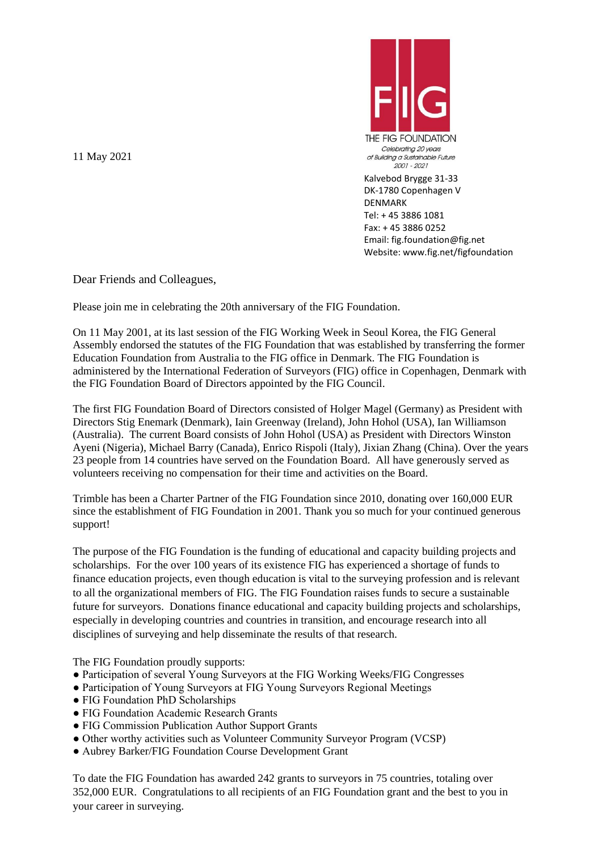11 May 2021



 Kalvebod Brygge 31-33 DK-1780 Copenhagen V DENMARK Tel: + 45 3886 1081 Fax: + 45 3886 0252 Email: fig.foundation@fig.net Website: www.fig.net/figfoundation

Dear Friends and Colleagues,

Please join me in celebrating the 20th anniversary of the FIG Foundation.

On 11 May 2001, at its last session of the FIG Working Week in Seoul Korea, the FIG General Assembly endorsed the statutes of the FIG Foundation that was established by transferring the former Education Foundation from Australia to the FIG office in Denmark. The FIG Foundation is administered by the International Federation of Surveyors (FIG) office in Copenhagen, Denmark with the FIG Foundation Board of Directors appointed by the FIG Council.

The first FIG Foundation Board of Directors consisted of Holger Magel (Germany) as President with Directors Stig Enemark (Denmark), Iain Greenway (Ireland), John Hohol (USA), Ian Williamson (Australia). The current Board consists of John Hohol (USA) as President with Directors Winston Ayeni (Nigeria), Michael Barry (Canada), Enrico Rispoli (Italy), Jixian Zhang (China). Over the years 23 people from 14 countries have served on the Foundation Board. All have generously served as volunteers receiving no compensation for their time and activities on the Board.

Trimble has been a Charter Partner of the FIG Foundation since 2010, donating over 160,000 EUR since the establishment of FIG Foundation in 2001. Thank you so much for your continued generous support!

The purpose of the FIG Foundation is the funding of educational and capacity building projects and scholarships. For the over 100 years of its existence FIG has experienced a shortage of funds to finance education projects, even though education is vital to the surveying profession and is relevant to all the organizational members of FIG. The FIG Foundation raises funds to secure a sustainable future for surveyors. Donations finance educational and capacity building projects and scholarships, especially in developing countries and countries in transition, and encourage research into all disciplines of surveying and help disseminate the results of that research.

The FIG Foundation proudly supports:

- Participation of several Young Surveyors at the FIG Working Weeks/FIG Congresses
- Participation of Young Surveyors at FIG Young Surveyors Regional Meetings
- FIG Foundation PhD Scholarships
- FIG Foundation Academic Research Grants
- FIG Commission Publication Author Support Grants
- Other worthy activities such as Volunteer Community Surveyor Program (VCSP)
- Aubrey Barker/FIG Foundation Course Development Grant

To date the FIG Foundation has awarded 242 grants to surveyors in 75 countries, totaling over 352,000 EUR. Congratulations to all recipients of an FIG Foundation grant and the best to you in your career in surveying.